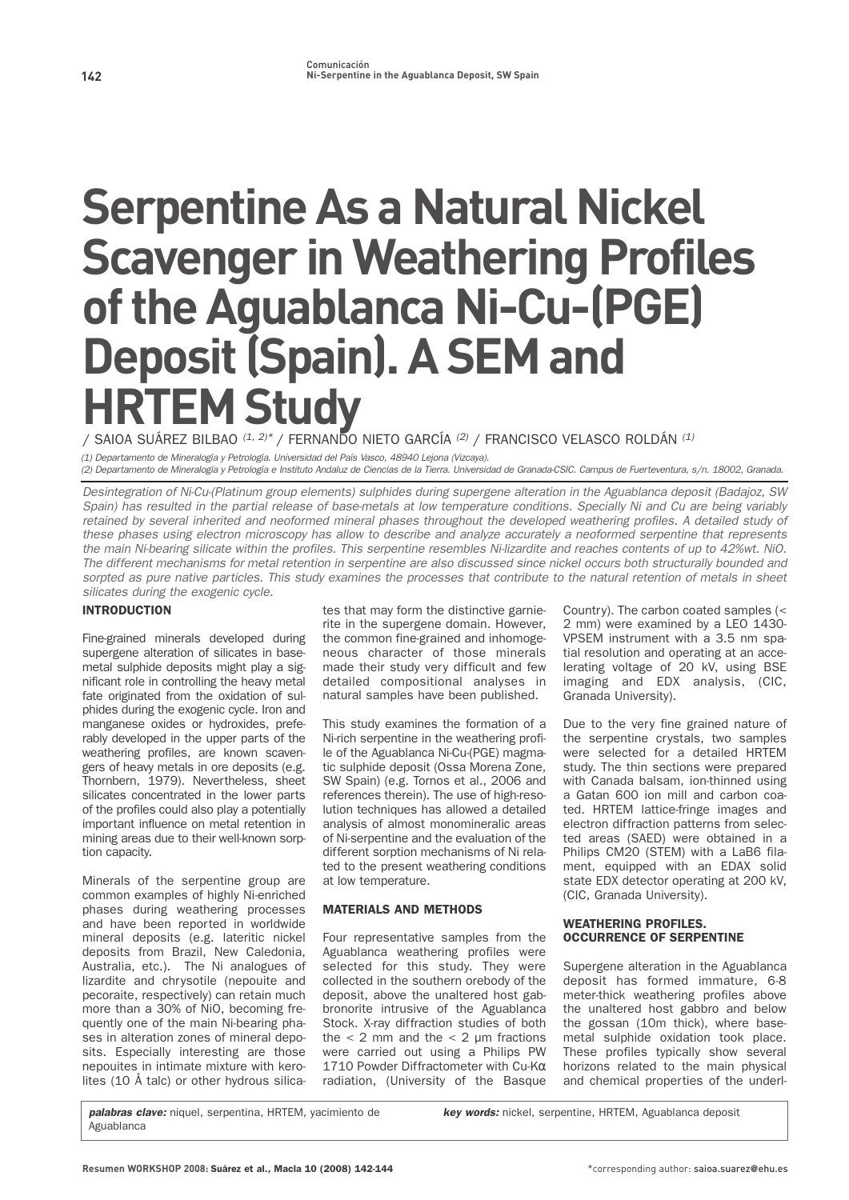# **Serpentine As a Natural Nickel Scavenger in Weathering Profiles of the Aguablanca Ni-Cu-(PGE) Deposit (Spain). A SEM and HRTEM Study**

**/ SAIOA SUÁREZ BILBAO** (1, 2)\* **/ FERNANDO NIETO GARCÍA** (2) **/ FRANCISCO VELASCO ROLDÁN** (1)

(1) Departamento de Mineralogía y Petrología. Universidad del País Vasco, 48940 Lejona (Vizcaya).

(2) Departamento de Mineralogía y Petrología e Instituto Andaluz de Ciencias de la Tierra. Universidad de Granada-CSIC. Campus de Fuerteventura, s/n. 18002, Granada.

Desintegration of Ni-Cu-(Platinum group elements) sulphides during supergene alteration in the Aguablanca deposit (Badajoz, SW Spain) has resulted in the partial release of base-metals at low temperature conditions. Specially Ni and Cu are being variably retained by several inherited and neoformed mineral phases throughout the developed weathering profiles. A detailed study of these phases using electron microscopy has allow to describe and analyze accurately a neoformed serpentine that represents the main Ni-bearing silicate within the profiles. This serpentine resembles Ni-lizardite and reaches contents of up to 42%wt. NiO. The different mechanisms for metal retention in serpentine are also discussed since nickel occurs both structurally bounded and sorpted as pure native particles. This study examines the processes that contribute to the natural retention of metals in sheet silicates during the exogenic cycle.

# INTRODUCTION

**Fine-grained minerals developed during supergene alteration of silicates in basemetal sulphide deposits might play a significant role in controlling the heavy metal fate originated from the oxidation of sulphides during the exogenic cycle. Iron and manganese oxides or hydroxides, preferably developed in the upper parts of the weathering profiles, are known scavengers of heavy metals in ore deposits (e.g. Thornbern, 1979). Nevertheless, sheet silicates concentrated in the lower parts of the profiles could also play a potentially important influence on metal retention in mining areas due to their well-known sorption capacity.**

**Minerals of the serpentine group are common examples of highly Ni-enriched phases during weathering processes and have been reported in worldwide mineral deposits (e.g. lateritic nickel deposits from Brazil, New Caledonia, Australia, etc.). The Ni analogues of lizardite and chrysotile (nepouite and pecoraite, respectively) can retain much more than a 30% of NiO, becoming frequently one of the main Ni-bearing phases in alteration zones of mineral deposits. Especially interesting are those nepouites in intimate mixture with kerolites (10 Å talc) or other hydrous silica-** **tes that may form the distinctive garnierite in the supergene domain. However, the common fine-grained and inhomogeneous character of those minerals made their study very difficult and few detailed compositional analyses in natural samples have been published.**

**This study examines the formation of a Ni-rich serpentine in the weathering profile of the Aguablanca Ni-Cu-(PGE) magmatic sulphide deposit (Ossa Morena Zone, SW Spain) (e.g. Tornos et al., 2006 and references therein). The use of high-resolution techniques has allowed a detailed analysis of almost monomineralic areas of Ni-serpentine and the evaluation of the different sorption mechanisms of Ni related to the present weathering conditions at low temperature.**

# MATERIALS AND METHODS

**Four representative samples from the Aguablanca weathering profiles were selected for this study. They were collected in the southern orebody of the deposit, above the unaltered host gabbronorite intrusive of the Aguablanca Stock. X-ray diffraction studies of both the < 2 mm and the < 2 µm fractions were carried out using a Philips PW 1710 Powder Diffractometer with Cu-K**α **radiation, (University of the Basque**

**Country). The carbon coated samples (< 2 mm) were examined by a LEO 1430- VPSEM instrument with a 3.5 nm spatial resolution and operating at an accelerating voltage of 20 kV, using BSE imaging and EDX analysis, (CIC, Granada University).** 

**Due to the very fine grained nature of the serpentine crystals, two samples were selected for a detailed HRTEM study. The thin sections were prepared with Canada balsam, ion-thinned using a Gatan 600 ion mill and carbon coated. HRTEM lattice-fringe images and electron diffraction patterns from selected areas (SAED) were obtained in a Philips CM20 (STEM) with a LaB6 filament, equipped with an EDAX solid state EDX detector operating at 200 kV, (CIC, Granada University).**

## WEATHERING PROFILES. OCCURRENCE OF SERPENTINE

**Supergene alteration in the Aguablanca deposit has formed immature, 6-8 meter-thick weathering profiles above the unaltered host gabbro and below the gossan (10m thick), where basemetal sulphide oxidation took place. These profiles typically show several horizons related to the main physical and chemical properties of the underl-**

**palabras clave: niquel, serpentina, HRTEM, yacimiento de Aguablanca**

**key words: nickel, serpentine, HRTEM, Aguablanca deposit**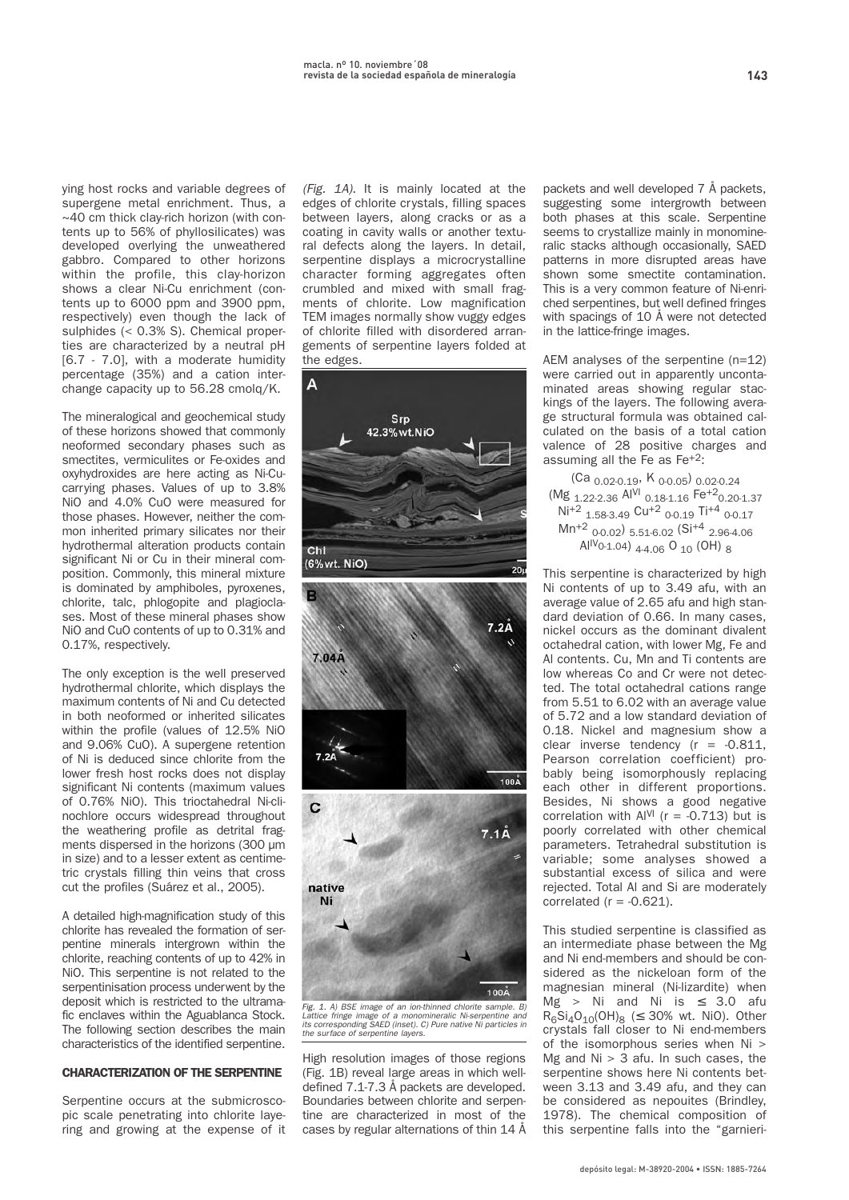**ying host rocks and variable degrees of supergene metal enrichment. Thus, a ~40 cm thick clay-rich horizon (with contents up to 56% of phyllosilicates) was**

**developed overlying the unweathered gabbro. Compared to other horizons within the profile, this clay-horizon shows a clear Ni-Cu enrichment (contents up to 6000 ppm and 3900 ppm, respectively) even though the lack of sulphides (< 0.3% S). Chemical properties are characterized by a neutral pH [6.7 - 7.0], with a moderate humidity percentage (35%) and a cation interchange capacity up to 56.28 cmolq/K.**

**The mineralogical and geochemical study of these horizons showed that commonly neoformed secondary phases such as smectites, vermiculites or Fe-oxides and oxyhydroxides are here acting as Ni-Cucarrying phases. Values of up to 3.8% NiO and 4.0% CuO were measured for those phases. However, neither the common inherited primary silicates nor their hydrothermal alteration products contain significant Ni or Cu in their mineral composition. Commonly, this mineral mixture is dominated by amphiboles, pyroxenes, chlorite, talc, phlogopite and plagioclases. Most of these mineral phases show NiO and CuO contents of up to 0.31% and 0.17%, respectively.**

**The only exception is the well preserved hydrothermal chlorite, which displays the maximum contents of Ni and Cu detected in both neoformed or inherited silicates within the profile (values of 12.5% NiO and 9.06% CuO). A supergene retention of Ni is deduced since chlorite from the lower fresh host rocks does not display significant Ni contents (maximum values of 0.76% NiO). This trioctahedral Ni-clinochlore occurs widespread throughout the weathering profile as detrital fragments dispersed in the horizons (300 µm in size) and to a lesser extent as centimetric crystals filling thin veins that cross cut the profiles (Suárez et al., 2005).**

**A detailed high-magnification study of this chlorite has revealed the formation of serpentine minerals intergrown within the chlorite, reaching contents of up to 42% in NiO. This serpentine is not related to the serpentinisation process underwent by the deposit which is restricted to the ultramafic enclaves within the Aguablanca Stock. The following section describes the main characteristics of the identified serpentine.**

### CHARACTERIZATION OF THE SERPENTINE

**Serpentine occurs at the submicroscopic scale penetrating into chlorite layering and growing at the expense of it**

(Fig. 1A)**. It is mainly located at the edges of chlorite crystals, filling spaces between layers, along cracks or as a coating in cavity walls or another textural defects along the layers. In detail, serpentine displays a microcrystalline character forming aggregates often crumbled and mixed with small fragments of chlorite. Low magnification TEM images normally show vuggy edges of chlorite filled with disordered arrangements of serpentine layers folded at the edges.**



Fig. 1. A) BSE image of an ion-thinned chlorite sample. B) Lattice fringe image of a monomineralic Ni-serpentine and its corresponding SAED (inset). C) Pure native Ni particles in the surface of serpentine layers.

**High resolution images of those regions (Fig. 1B) reveal large areas in which welldefined 7.1-7.3 Å packets are developed. Boundaries between chlorite and serpentine are characterized in most of the cases by regular alternations of thin 14 Å** **packets and well developed 7 Å packets, suggesting some intergrowth between both phases at this scale. Serpentine seems to crystallize mainly in monomineralic stacks although occasionally, SAED patterns in more disrupted areas have shown some smectite contamination. This is a very common feature of Ni-enriched serpentines, but well defined fringes with spacings of 10 Å were not detected in the lattice-fringe images.**

**AEM analyses of the serpentine (n=12) were carried out in apparently uncontaminated areas showing regular stackings of the layers. The following average structural formula was obtained calculated on the basis of a total cation valence of 28 positive charges and assuming all the Fe as Fe+2:**

**(Ca 0.02-0.19, K 0-0.05) 0.02-0.24 (Mg 1.22-2.36 AlVI 0.18-1.16 Fe+20.20-1.37 Ni+2 1.58-3.49 Cu+2 0-0.19 Ti+4 0-0.17 Mn+2 0-0.02) 5.51-6.02 (Si+4 2.96-4.06**   $Al^{IV}$ 0-1.04)  $_{4-4.06}$  O<sub>10</sub> (OH)  $_{8}$ 

**This serpentine is characterized by high Ni contents of up to 3.49 afu, with an average value of 2.65 afu and high standard deviation of 0.66. In many cases, nickel occurs as the dominant divalent octahedral cation, with lower Mg, Fe and Al contents. Cu, Mn and Ti contents are low whereas Co and Cr were not detected. The total octahedral cations range from 5.51 to 6.02 with an average value of 5.72 and a low standard deviation of 0.18. Nickel and magnesium show a clear inverse tendency (r = -0.811, Pearson correlation coefficient) probably being isomorphously replacing each other in different proportions. Besides, Ni shows a good negative** correlation with  $AI<sup>VI</sup>$  ( $r = -0.713$ ) but is **poorly correlated with other chemical parameters. Tetrahedral substitution is variable; some analyses showed a substantial excess of silica and were rejected. Total Al and Si are moderately correlated (r = -0.621).** 

**This studied serpentine is classified as an intermediate phase between the Mg and Ni end-members and should be considered as the nickeloan form of the magnesian mineral (Ni-lizardite) when Mg > Ni and Ni is** ≤ **3.0 afu R6Si4O10(OH)8 (**≤ **30% wt. NiO). Other crystals fall closer to Ni end-members of the isomorphous series when Ni > Mg and Ni > 3 afu. In such cases, the serpentine shows here Ni contents between 3.13 and 3.49 afu, and they can be considered as nepouites (Brindley, 1978). The chemical composition of this serpentine falls into the "garnieri-**